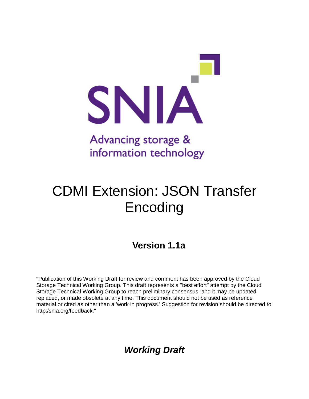

# CDMI Extension: JSON Transfer Encoding

## **Version 1.1a**

"Publication of this Working Draft for review and comment has been approved by the Cloud Storage Technical Working Group. This draft represents a "best effort" attempt by the Cloud Storage Technical Working Group to reach preliminary consensus, and it may be updated, replaced, or made obsolete at any time. This document should not be used as reference material or cited as other than a 'work in progress.' Suggestion for revision should be directed to http:/snia.org/feedback."

*Working Draft*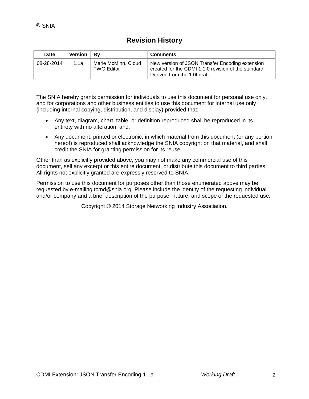### **Revision History**

| <b>Date</b> | Version | – Bv                                     | <b>Comments</b>                                                                                                                         |
|-------------|---------|------------------------------------------|-----------------------------------------------------------------------------------------------------------------------------------------|
| 08-28-2014  | 1.1a    | Marie McMinn, Cloud<br><b>TWG Editor</b> | New version of JSON Transfer Encoding extension<br>created for the CDMI 1.1.0 revision of the standard.<br>Derived from the 1.0f draft. |

The SNIA hereby grants permission for individuals to use this document for personal use only, and for corporations and other business entities to use this document for internal use only (including internal copying, distribution, and display) provided that:

- Any text, diagram, chart, table, or definition reproduced shall be reproduced in its entirety with no alteration, and,
- Any document, printed or electronic, in which material from this document (or any portion hereof) is reproduced shall acknowledge the SNIA copyright on that material, and shall credit the SNIA for granting permission for its reuse.

Other than as explicitly provided above, you may not make any commercial use of this document, sell any excerpt or this entire document, or distribute this document to third parties. All rights not explicitly granted are expressly reserved to SNIA.

Permission to use this document for purposes other than those enumerated above may be requested by e-mailing tcmd@snia.org. Please include the identity of the requesting individual and/or company and a brief description of the purpose, nature, and scope of the requested use.

Copyright © 2014 Storage Networking Industry Association.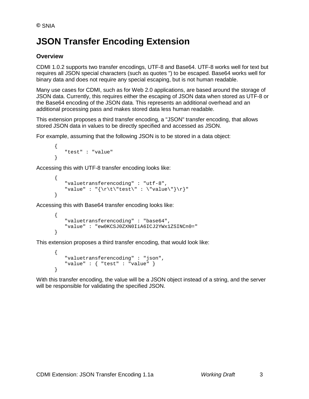# **JSON Transfer Encoding Extension**

#### **Overview**

CDMI 1.0.2 supports two transfer encodings, UTF-8 and Base64. UTF-8 works well for text but requires all JSON special characters (such as quotes ") to be escaped. Base64 works well for binary data and does not require any special escaping, but is not human readable.

Many use cases for CDMI, such as for Web 2.0 applications, are based around the storage of JSON data. Currently, this requires either the escaping of JSON data when stored as UTF-8 or the Base64 encoding of the JSON data. This represents an additional overhead and an additional processing pass and makes stored data less human readable.

This extension proposes a third transfer encoding, a "JSON" transfer encoding, that allows stored JSON data in values to be directly specified and accessed as JSON.

For example, assuming that the following JSON is to be stored in a data object:

```
{
   "test" : "value"
}
```
Accessing this with UTF-8 transfer encoding looks like:

```
{
   "valuetransferencoding" : "utf-8",
   "value" : "\{\r \text{test}\" : \"value\"}\r}"
}
```
Accessing this with Base64 transfer encoding looks like:

```
{
   "valuetransferencoding" : "base64",
   "value" : "ew0KCSJ0ZXN0IiA6ICJ2YWx1ZSINCn0="
}
```
This extension proposes a third transfer encoding, that would look like:

```
{
   "valuetransferencoding" : "json",
   "value" : { "test" : "value" }
}
```
With this transfer encoding, the value will be a JSON object instead of a string, and the server will be responsible for validating the specified JSON.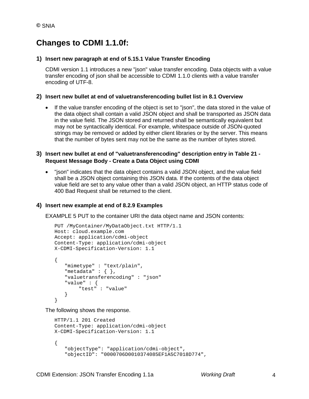### **Changes to CDMI 1.1.0f:**

#### **1) Insert new paragraph at end of 5.15.1 Value Transfer Encoding**

CDMI version 1.1 introduces a new "json" value transfer encoding. Data objects with a value transfer encoding of json shall be accessible to CDMI 1.1.0 clients with a value transfer encoding of UTF-8.

#### **2) Insert new bullet at end of valuetransferencoding bullet list in 8.1 Overview**

• If the value transfer encoding of the object is set to "json", the data stored in the value of the data object shall contain a valid JSON object and shall be transported as JSON data in the value field. The JSON stored and returned shall be semantically equivalent but may not be syntactically identical. For example, whitespace outside of JSON-quoted strings may be removed or added by either client libraries or by the server. This means that the number of bytes sent may not be the same as the number of bytes stored.

#### **3) Insert new bullet at end of "valuetransferencoding" description entry in Table 21 - Request Message Body - Create a Data Object using CDMI**

• "json" indicates that the data object contains a valid JSON object, and the value field shall be a JSON object containing this JSON data. If the contents of the data object value field are set to any value other than a valid JSON object, an HTTP status code of 400 Bad Request shall be returned to the client.

#### **4) Insert new example at end of 8.2.9 Examples**

EXAMPLE 5 PUT to the container URI the data object name and JSON contents:

```
PUT /MyContainer/MyDataObject.txt HTTP/1.1
Host: cloud.example.com
Accept: application/cdmi-object
Content-Type: application/cdmi-object
X-CDMI-Specification-Version: 1.1
{
   "mimetype" : "text/plain",
   "metadata" : \{ \},
   "valuetransferencoding" : "json"
   "value" : {
       "test" : "value"
   }
}
```
The following shows the response.

```
HTTP/1.1 201 Created
Content-Type: application/cdmi-object
X-CDMI-Specification-Version: 1.1
{
   "objectType": "application/cdmi-object",
   "objectID": "0000706D0010374085EF1A5C7018D774",
```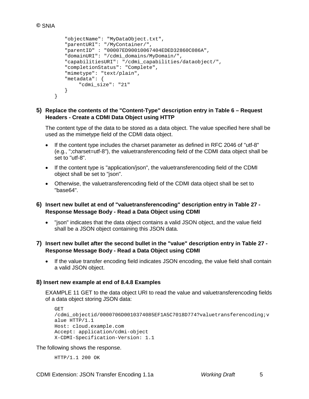```
"objectName": "MyDataObject.txt",
   "parentURI": "/MyContainer/",
   "parentID" : "00007ED90010067404EDED32860C086A",
   "domainURI": "/cdmi_domains/MyDomain/",
   "capabilitiesURI": "/cdmi_capabilities/dataobject/",
   "completionStatus": "Complete",
   "mimetype": "text/plain",
   "metadata": {
       "cdmi_size": "21"
   }
}
```
#### **5) Replace the contents of the "Content-Type" description entry in Table 6 – Request Headers - Create a CDMI Data Object using HTTP**

The content type of the data to be stored as a data object. The value specified here shall be used as the mimetype field of the CDMI data object.

- If the content type includes the charset parameter as defined in RFC 2046 of "utf-8" (e.g., ";charset=utf-8"), the valuetransferencoding field of the CDMI data object shall be set to "utf-8".
- If the content type is "application/json", the valuetransferencoding field of the CDMI object shall be set to "json".
- Otherwise, the valuetransferencoding field of the CDMI data object shall be set to "base64".
- **6) Insert new bullet at end of "valuetransferencoding" description entry in Table 27 - Response Message Body - Read a Data Object using CDMI**
	- "json" indicates that the data object contains a valid JSON object, and the value field shall be a JSON object containing this JSON data.
- **7) Insert new bullet after the second bullet in the "value" description entry in Table 27 - Response Message Body - Read a Data Object using CDMI**
	- If the value transfer encoding field indicates JSON encoding, the value field shall contain a valid JSON object.

#### **8) Insert new example at end of 8.4.8 Examples**

EXAMPLE 11 GET to the data object URI to read the value and valuetransferencoding fields of a data object storing JSON data:

```
GET 
/cdmi_objectid/0000706D0010374085EF1A5C7018D774?valuetransferencoding;v
alue HTTP/1.1
Host: cloud.example.com
Accept: application/cdmi-object
X-CDMI-Specification-Version: 1.1
```
#### The following shows the response.

HTTP/1.1 200 OK

CDMI Extension: JSON Transfer Encoding 1.1a *Working Draft* 5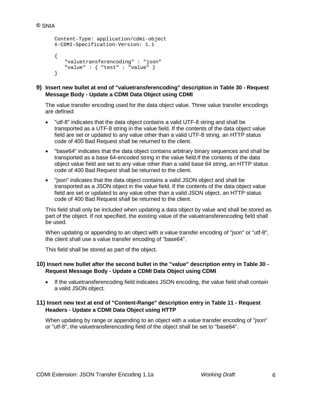```
Content-Type: application/cdmi-object
X-CDMI-Specification-Version: 1.1
{
   "valuetransferencoding" : "json"
   "value" : { "test" : "value" }
}
```
**9) Insert new bullet at end of "valuetransferencoding" description in Table 30 - Request Message Body - Update a CDMI Data Object using CDMI**

The value transfer encoding used for the data object value. Three value transfer encodings are defined:

- "utf-8" indicates that the data object contains a valid UTF-8 string and shall be transported as a UTF-8 string in the value field. If the contents of the data object value field are set or updated to any value other than a valid UTF-8 string, an HTTP status code of 400 Bad Request shall be returned to the client.
- "base64" indicates that the data object contains arbitrary binary sequences and shall be transported as a base 64-encoded string in the value field.If the contents of the data object value field are set to any value other than a valid base 64 string, an HTTP status code of 400 Bad Request shall be returned to the client.
- "json" indicates that the data object contains a valid JSON object and shall be transported as a JSON object in the value field. If the contents of the data object value field are set or updated to any value other than a valid JSON object, an HTTP status code of 400 Bad Request shall be returned to the client.

This field shall only be included when updating a data object by value and shall be stored as part of the object. If not specified, the existing value of the valuetransferencoding field shall be used.

When updating or appending to an object with a value transfer encoding of "json" or "utf-8", the client shall use a value transfer encoding of "base64".

This field shall be stored as part of the object.

#### **10) Insert new bullet after the second bullet in the "value" description entry in Table 30 - Request Message Body - Update a CDMI Data Object using CDMI**

• If the valuetransferencoding field indicates JSON encoding, the value field shall contain a valid JSON object.

#### **11) Insert new text at end of "Content-Range" description entry in Table 11 - Request Headers - Update a CDMI Data Object using HTTP**

When updating by range or appending to an object with a value transfer encoding of "json" or "utf-8", the valuetransferencoding field of the object shall be set to "base64".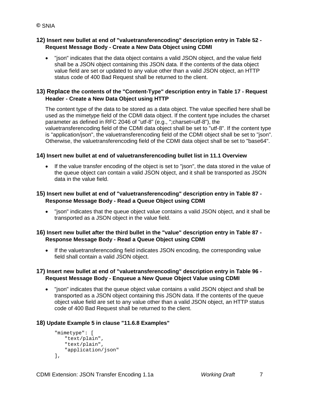# **©** SNIA

#### **12) Insert new bullet at end of "valuetransferencoding" description entry in Table 52 - Request Message Body - Create a New Data Object using CDMI**

• "json" indicates that the data object contains a valid JSON object, and the value field shall be a JSON object containing this JSON data. If the contents of the data object value field are set or updated to any value other than a valid JSON object, an HTTP status code of 400 Bad Request shall be returned to the client.

#### **13) Replace the contents of the "Content-Type" description entry in Table 17 - Request Header - Create a New Data Object using HTTP**

The content type of the data to be stored as a data object. The value specified here shall be used as the mimetype field of the CDMI data object. If the content type includes the charset parameter as defined in RFC 2046 of "utf-8" (e.g., ";charset=utf-8"), the valuetransferencoding field of the CDMI data object shall be set to "utf-8". If the content type is "application/json", the valuetransferencoding field of the CDMI object shall be set to "json". Otherwise, the valuetransferencoding field of the CDMI data object shall be set to "base64".

#### **14) Insert new bullet at end of valuetransferencoding bullet list in 11.1 Overview**

• If the value transfer encoding of the object is set to "json", the data stored in the value of the queue object can contain a valid JSON object, and it shall be transported as JSON data in the value field.

#### **15) Insert new bullet at end of "valuetransferencoding" description entry in Table 87 - Response Message Body - Read a Queue Object using CDMI**

• "json" indicates that the queue object value contains a valid JSON object, and it shall be transported as a JSON object in the value field.

#### **16) Insert new bullet after the third bullet in the "value" description entry in Table 87 - Response Message Body - Read a Queue Object using CDMI**

• If the valuetransferencoding field indicates JSON encoding, the corresponding value field shall contain a valid JSON object.

#### **17) Insert new bullet at end of "valuetransferencoding" description entry in Table 96 - Request Message Body - Enqueue a New Queue Object Value using CDMI**

• "json" indicates that the queue object value contains a valid JSON object and shall be transported as a JSON object containing this JSON data. If the contents of the queue object value field are set to any value other than a valid JSON object, an HTTP status code of 400 Bad Request shall be returned to the client.

#### **18) Update Example 5 in clause "11.6.8 Examples"**

```
"mimetype": [
   "text/plain",
   "text/plain",
   "application/json"
\cdot
```